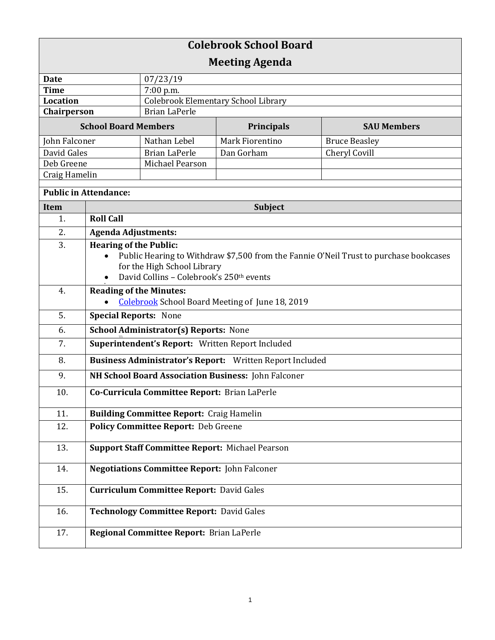| <b>Colebrook School Board</b> |                                                                                          |                                            |                   |                      |  |
|-------------------------------|------------------------------------------------------------------------------------------|--------------------------------------------|-------------------|----------------------|--|
| <b>Meeting Agenda</b>         |                                                                                          |                                            |                   |                      |  |
| <b>Date</b>                   |                                                                                          | 07/23/19                                   |                   |                      |  |
| <b>Time</b>                   |                                                                                          | 7:00 p.m.                                  |                   |                      |  |
| <b>Location</b>               |                                                                                          | <b>Colebrook Elementary School Library</b> |                   |                      |  |
| Chairperson                   |                                                                                          | <b>Brian LaPerle</b>                       |                   |                      |  |
| <b>School Board Members</b>   |                                                                                          |                                            | <b>Principals</b> | <b>SAU Members</b>   |  |
| John Falconer                 |                                                                                          | Nathan Lebel                               | Mark Fiorentino   | <b>Bruce Beasley</b> |  |
| David Gales                   |                                                                                          | <b>Brian LaPerle</b><br>Michael Pearson    | Dan Gorham        | Cheryl Covill        |  |
| Deb Greene<br>Craig Hamelin   |                                                                                          |                                            |                   |                      |  |
|                               |                                                                                          |                                            |                   |                      |  |
| <b>Public in Attendance:</b>  |                                                                                          |                                            |                   |                      |  |
| Item                          | Subject                                                                                  |                                            |                   |                      |  |
| 1.                            | <b>Roll Call</b>                                                                         |                                            |                   |                      |  |
| 2.                            | <b>Agenda Adjustments:</b>                                                               |                                            |                   |                      |  |
| 3.                            | <b>Hearing of the Public:</b>                                                            |                                            |                   |                      |  |
|                               | Public Hearing to Withdraw \$7,500 from the Fannie O'Neil Trust to purchase bookcases    |                                            |                   |                      |  |
|                               | for the High School Library                                                              |                                            |                   |                      |  |
|                               | David Collins - Colebrook's 250th events                                                 |                                            |                   |                      |  |
| 4.                            | <b>Reading of the Minutes:</b><br><b>Colebrook</b> School Board Meeting of June 18, 2019 |                                            |                   |                      |  |
| 5.                            | <b>Special Reports: None</b>                                                             |                                            |                   |                      |  |
| 6.                            | <b>School Administrator(s) Reports: None</b>                                             |                                            |                   |                      |  |
| 7.                            | Superintendent's Report: Written Report Included                                         |                                            |                   |                      |  |
| 8.                            | Business Administrator's Report: Written Report Included                                 |                                            |                   |                      |  |
| 9.                            | NH School Board Association Business: John Falconer                                      |                                            |                   |                      |  |
| 10.                           | Co-Curricula Committee Report: Brian LaPerle                                             |                                            |                   |                      |  |
| 11.                           | <b>Building Committee Report: Craig Hamelin</b>                                          |                                            |                   |                      |  |
| 12.                           | Policy Committee Report: Deb Greene                                                      |                                            |                   |                      |  |
| 13.                           | <b>Support Staff Committee Report: Michael Pearson</b>                                   |                                            |                   |                      |  |
| 14.                           | <b>Negotiations Committee Report: John Falconer</b>                                      |                                            |                   |                      |  |
| 15.                           | <b>Curriculum Committee Report: David Gales</b>                                          |                                            |                   |                      |  |
| 16.                           | <b>Technology Committee Report: David Gales</b>                                          |                                            |                   |                      |  |
| 17.                           |                                                                                          | Regional Committee Report: Brian LaPerle   |                   |                      |  |